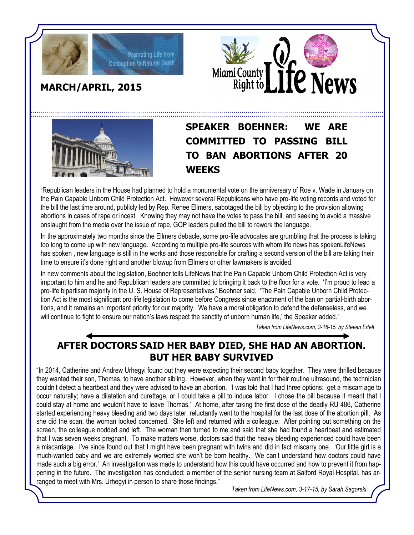



## **MARCH/APRIL, 2015**





## **SPEAKER BOEHNER: WE ARE COMMITTED TO PASSING BILL TO BAN ABORTIONS AFTER 20 WEEKS**

"Republican leaders in the House had planned to hold a monumental vote on the anniversary of Roe v. Wade in January on the Pain Capable Unborn Child Protection Act. However several Republicans who have pro-life voting records and voted for the bill the last time around, publicly led by Rep. Renee Ellmers, sabotaged the bill by objecting to the provision allowing abortions in cases of rape or incest. Knowing they may not have the votes to pass the bill, and seeking to avoid a massive onslaught from the media over the issue of rape, GOP leaders pulled the bill to rework the language.

In the approximately two months since the Ellmers debacle, some pro-life advocates are grumbling that the process is taking too long to come up with new language. According to multiple pro-life sources with whom life news has spokenLifeNews has spoken , new language is still in the works and those responsible for crafting a second version of the bill are taking their time to ensure it's done right and another blowup from Ellmers or other lawmakers is avoided.

In new comments about the legislation, Boehner tells LifeNews that the Pain Capable Unborn Child Protection Act is very important to him and he and Republican leaders are committed to bringing it back to the floor for a vote. 'I'm proud to lead a pro-life bipartisan majority in the U. S. House of Representatives,' Boehner said. 'The Pain Capable Unborn Child Protection Act is the most significant pro-life legislation to come before Congress since enactment of the ban on partial-birth abortions, and it remains an important priority for our majority. We have a moral obligation to defend the defenseless, and we will continue to fight to ensure our nation's laws respect the sanctity of unborn human life,' the Speaker added."

*Taken from LifeNews.com, 3-18-15, by Steven Ertelt*

## **AFTER DOCTORS SAID HER BABY DIED, SHE HAD AN ABORTION. BUT HER BABY SURVIVED**

"In 2014, Catherine and Andrew Urhegyi found out they were expecting their second baby together. They were thrilled because they wanted their son, Thomas, to have another sibling. However, when they went in for their routine ultrasound, the technician couldn't detect a heartbeat and they were advised to have an abortion. 'I was told that I had three options: get a miscarriage to occur naturally; have a dilatation and curettage, or I could take a pill to induce labor. I chose the pill because it meant that I could stay at home and wouldn't have to leave Thomas.' At home, after taking the first dose of the deadly RU 486, Catherine started experiencing heavy bleeding and two days later, reluctantly went to the hospital for the last dose of the abortion pill. As she did the scan, the woman looked concerned. She left and returned with a colleague. After pointing out something on the screen, the colleague nodded and left. The woman then turned to me and said that she had found a heartbeat and estimated that I was seven weeks pregnant. To make matters worse, doctors said that the heavy bleeding experienced could have been a miscarriage. I've since found out that I might have been pregnant with twins and did in fact miscarry one. 'Our little girl is a much-wanted baby and we are extremely worried she won't be born healthy. We can't understand how doctors could have made such a big error.' An investigation was made to understand how this could have occurred and how to prevent it from happening in the future. The investigation has concluded; a member of the senior nursing team at Salford Royal Hospital, has arranged to meet with Mrs. Urhegyi in person to share those findings."

*Taken from LifeNews.com, 3-17-15, by Sarah Sagorski*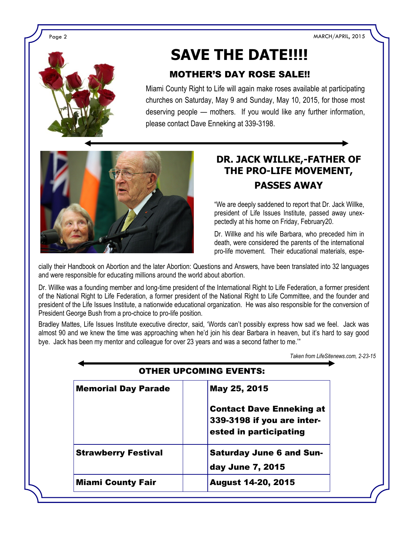Page 2 MARCH/APRIL, 2015



# **SAVE THE DATE!!!!**

### MOTHER'S DAY ROSE SALE!!

Miami County Right to Life will again make roses available at participating churches on Saturday, May 9 and Sunday, May 10, 2015, for those most deserving people — mothers. If you would like any further information, please contact Dave Enneking at 339-3198.



## **DR. JACK WILLKE,-FATHER OF THE PRO-LIFE MOVEMENT, PASSES AWAY**

"We are deeply saddened to report that Dr. Jack Willke, president of Life Issues Institute, passed away unexpectedly at his home on Friday, February20.

Dr. Willke and his wife Barbara, who preceded him in death, were considered the parents of the international pro-life movement. Their educational materials, espe-

cially their Handbook on Abortion and the later Abortion: Questions and Answers, have been translated into 32 languages and were responsible for educating millions around the world about abortion.

Dr. Willke was a founding member and long-time president of the International Right to Life Federation, a former president of the National Right to Life Federation, a former president of the National Right to Life Committee, and the founder and president of the Life Issues Institute, a nationwide educational organization. He was also responsible for the conversion of President George Bush from a pro-choice to pro-life position.

Bradley Mattes, Life Issues Institute executive director, said, 'Words can't possibly express how sad we feel. Jack was almost 90 and we knew the time was approaching when he'd join his dear Barbara in heaven, but it's hard to say good bye. Jack has been my mentor and colleague for over 23 years and was a second father to me."

*Taken from LifeSitenews.com, 2-23-15*

| <b>OTHER UPCOMING EVENTS:</b> |                                 |
|-------------------------------|---------------------------------|
| <b>Memorial Day Parade</b>    | May 25, 2015                    |
|                               | <b>Contact Dave Enneking at</b> |
|                               | 339-3198 if you are inter-      |
|                               | ested in participating          |
| <b>Strawberry Festival</b>    | <b>Saturday June 6 and Sun-</b> |
|                               | day June 7, 2015                |
| <b>Miami County Fair</b>      | <b>August 14-20, 2015</b>       |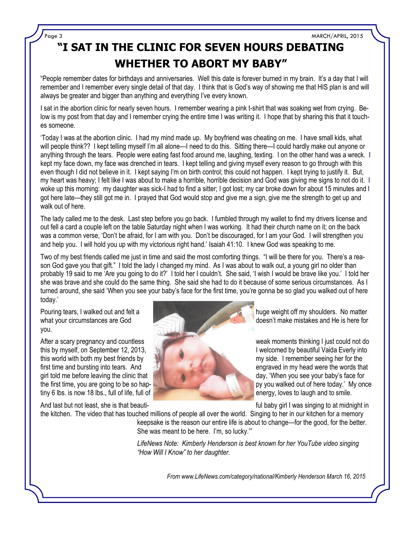Page 3 MARCH/APRIL, 2015

# **"I SAT IN THE CLINIC FOR SEVEN HOURS DEBATING WHETHER TO ABORT MY BABY"**

"People remember dates for birthdays and anniversaries. Well this date is forever burned in my brain. It's a day that I will remember and I remember every single detail of that day. I think that is God's way of showing me that HIS plan is and will always be greater and bigger than anything and everything I've every known.

I sat in the abortion clinic for nearly seven hours. I remember wearing a pink t-shirt that was soaking wet from crying. Below is my post from that day and I remember crying the entire time I was writing it. I hope that by sharing this that it touches someone.

'Today I was at the abortion clinic. I had my mind made up. My boyfriend was cheating on me. I have small kids, what will people think?? I kept telling myself I'm all alone—I need to do this. Sitting there—I could hardly make out anyone or anything through the tears. People were eating fast food around me, laughing, texting. I on the other hand was a wreck. I kept my face down, my face was drenched in tears. I kept telling and giving myself every reason to go through with this even though I did not believe in it. I kept saying I'm on birth control; this could not happen. I kept trying to justify it. But, my heart was heavy; I felt like I was about to make a horrible, horrible decision and God was giving me signs to not do it. I woke up this morning: my daughter was sick-I had to find a sitter; I got lost; my car broke down for about 15 minutes and I got here late—they still got me in. I prayed that God would stop and give me a sign, give me the strength to get up and walk out of here.

The lady called me to the desk. Last step before you go back. I fumbled through my wallet to find my drivers license and out fell a card a couple left on the table Saturday night when I was working. It had their church name on it; on the back was a common verse, 'Don't be afraid, for I am with you. Don't be discouraged, for I am your God. I will strengthen you and help you. I will hold you up with my victorious right hand.' Isaiah 41:10. I knew God was speaking to me.

Two of my best friends called me just in time and said the most comforting things. "I will be there for you. There's a reason God gave you that gift." I told the lady I changed my mind. As I was about to walk out, a young girl no older than probably 19 said to me 'Are you going to do it?' I told her I couldn't. She said, 'I wish I would be brave like you.' I told her she was brave and she could do the same thing. She said she had to do it because of some serious circumstances. As I turned around, she said 'When you see your baby's face for the first time, you're gonna be so glad you walked out of here today.'

you.



Pouring tears, I walked out and felt a huge weight off my shoulders. No matter what your circumstances are God doesn't make mistakes and He is here for

After a scary pregnancy and countless weak moments thinking I just could not do this by myself, on September 12, 2013, I welcomed by beautiful Vaida Everly into this world with both my best friends by my side. I remember seeing her for the first time and bursting into tears. And **the state of the state of the state of the words that** engraved in my head were the words that girl told me before leaving the clinic that day, 'When you see your baby's face for the first time, you are going to be so hap-<br>tiny 6 lbs. is now 18 lbs.. full of life. full of  $\frac{1}{2}$  for the south of here today.' My once energy loves to laugh and to smile. energy, loves to laugh and to smile.

And last but not least, she is that beauti- full baby girl I was singing to at midnight in

the kitchen. The video that has touched millions of people all over the world. Singing to her in our kitchen for a memory keepsake is the reason our entire life is about to change—for the good, for the better. She was meant to be here. I'm, so lucky.'"

> *LifeNews Note: Kimberly Henderson is best known for her YouTube video singing "How Will I Know" to her daughter.*

> > *From www.LifeNews.com/category/national/Kimberly Henderson March 16, 2015*